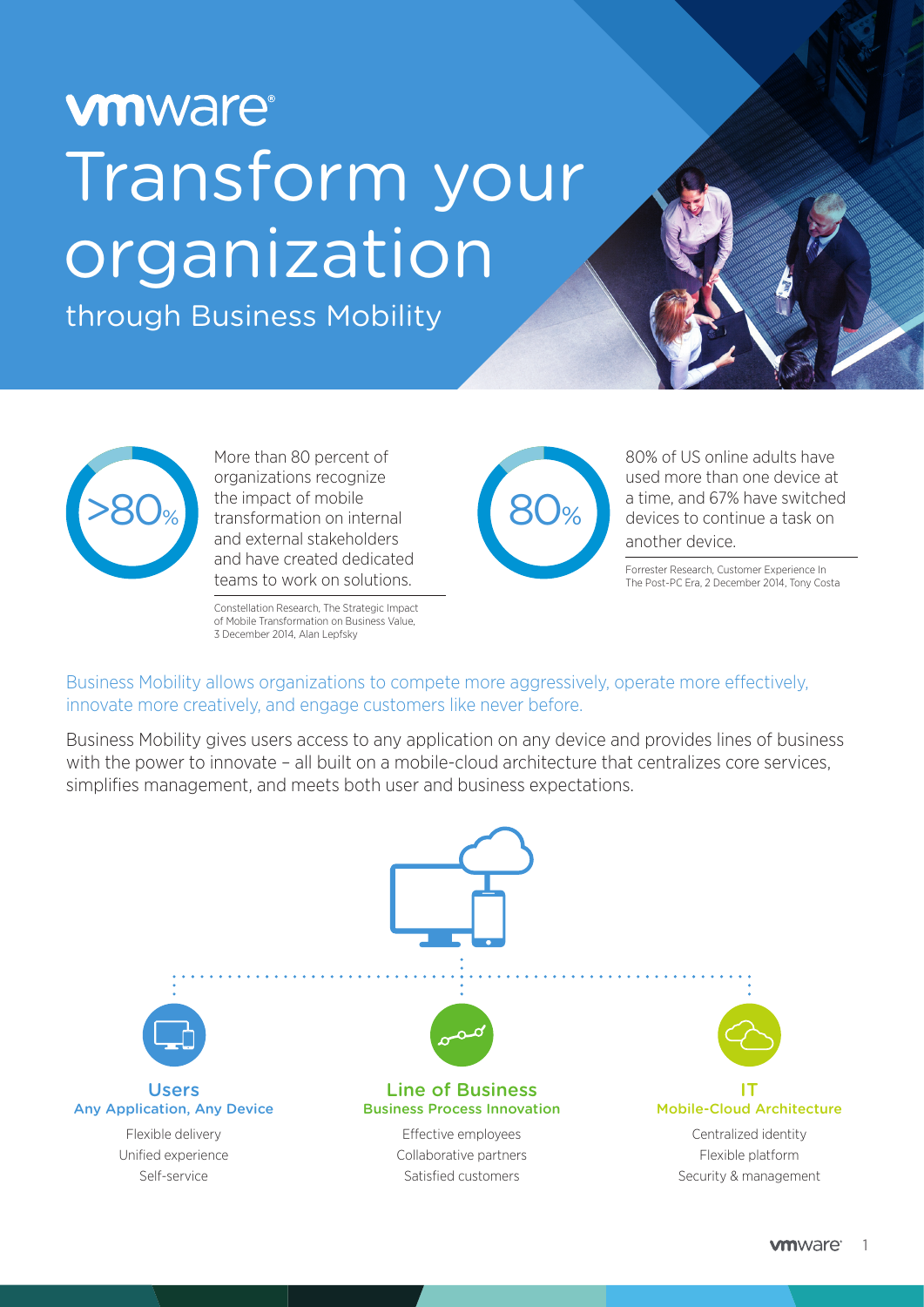# **vmware**® Transform your organization

through Business Mobility



More than 80 percent of organizations recognize the impact of mobile transformation on internal and external stakeholders and have created dedicated teams to work on solutions.

Constellation Research, The Strategic Impact of Mobile Transformation on Business Value, 3 December 2014, Alan Lepfsky



80% of US online adults have used more than one device at a time, and 67% have switched devices to continue a task on another device.

Forrester Research, Customer Experience In The Post-PC Era, 2 December 2014, Tony Costa

Business Mobility allows organizations to compete more aggressively, operate more effectively, innovate more creatively, and engage customers like never before.

Business Mobility gives users access to any application on any device and provides lines of business with the power to innovate - all built on a mobile-cloud architecture that centralizes core services, simplifies management, and meets both user and business expectations.

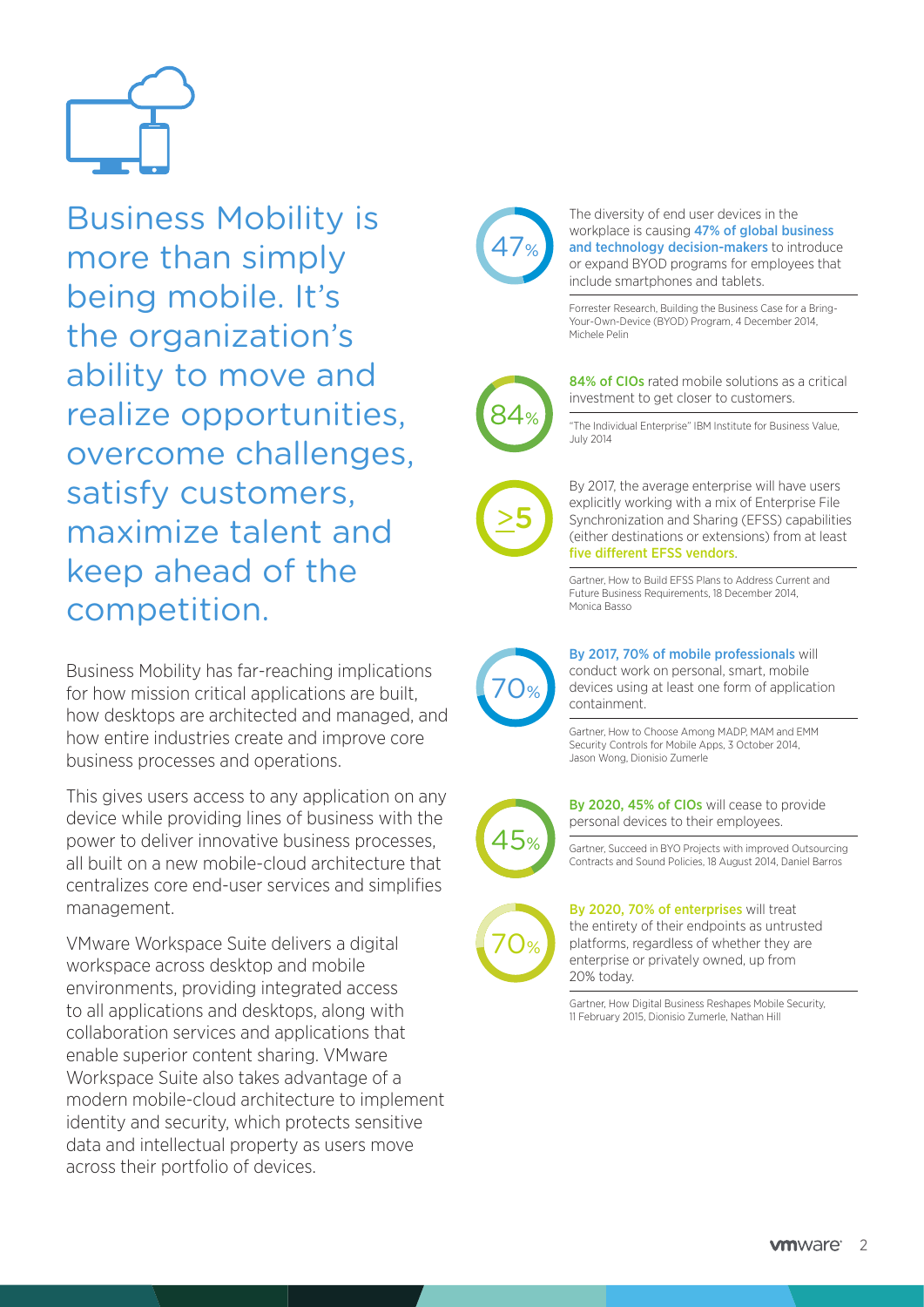

Business Mobility is more than simply being mobile. It's the organization's ability to move and realize opportunities, overcome challenges, satisfy customers, maximize talent and keep ahead of the competition.

Business Mobility has far-reaching implications for how mission critical applications are built, how desktops are architected and managed, and how entire industries create and improve core business processes and operations.

This gives users access to any application on any device while providing lines of business with the power to deliver innovative business processes, all built on a new mobile-cloud architecture that centralizes core end-user services and simplifies management.

VMware Workspace Suite delivers a digital workspace across desktop and mobile environments, providing integrated access to all applications and desktops, along with collaboration services and applications that enable superior content sharing. VMware Workspace Suite also takes advantage of a modern mobile-cloud architecture to implement identity and security, which protects sensitive data and intellectual property as users move across their portfolio of devices.



The diversity of end user devices in the workplace is causing 47% of global business and technology decision-makers to introduce or expand BYOD programs for employees that include smartphones and tablets.

Forrester Research, Building the Business Case for a Bring-Your-Own-Device (BYOD) Program, 4 December 2014, Michele Pelin



84% of CIOs rated mobile solutions as a critical investment to get closer to customers.

"The Individual Enterprise" IBM Institute for Business Value, July 2014



By 2017, the average enterprise will have users explicitly working with a mix of Enterprise File Synchronization and Sharing (EFSS) capabilities (either destinations or extensions) from at least five different EFSS vendors.

Gartner, How to Build EFSS Plans to Address Current and Future Business Requirements, 18 December 2014, Monica Basso



#### By 2017, 70% of mobile professionals will

conduct work on personal, smart, mobile devices using at least one form of application containment.

Gartner, How to Choose Among MADP, MAM and EMM Security Controls for Mobile Apps, 3 October 2014, Jason Wong, Dionisio Zumerle



By 2020, 45% of CIOs will cease to provide personal devices to their employees.

Gartner, Succeed in BYO Projects with improved Outsourcing Contracts and Sound Policies, 18 August 2014, Daniel Barros



By 2020, 70% of enterprises will treat the entirety of their endpoints as untrusted platforms, regardless of whether they are enterprise or privately owned, up from 20% today.

Gartner, How Digital Business Reshapes Mobile Security, 11 February 2015, Dionisio Zumerle, Nathan Hill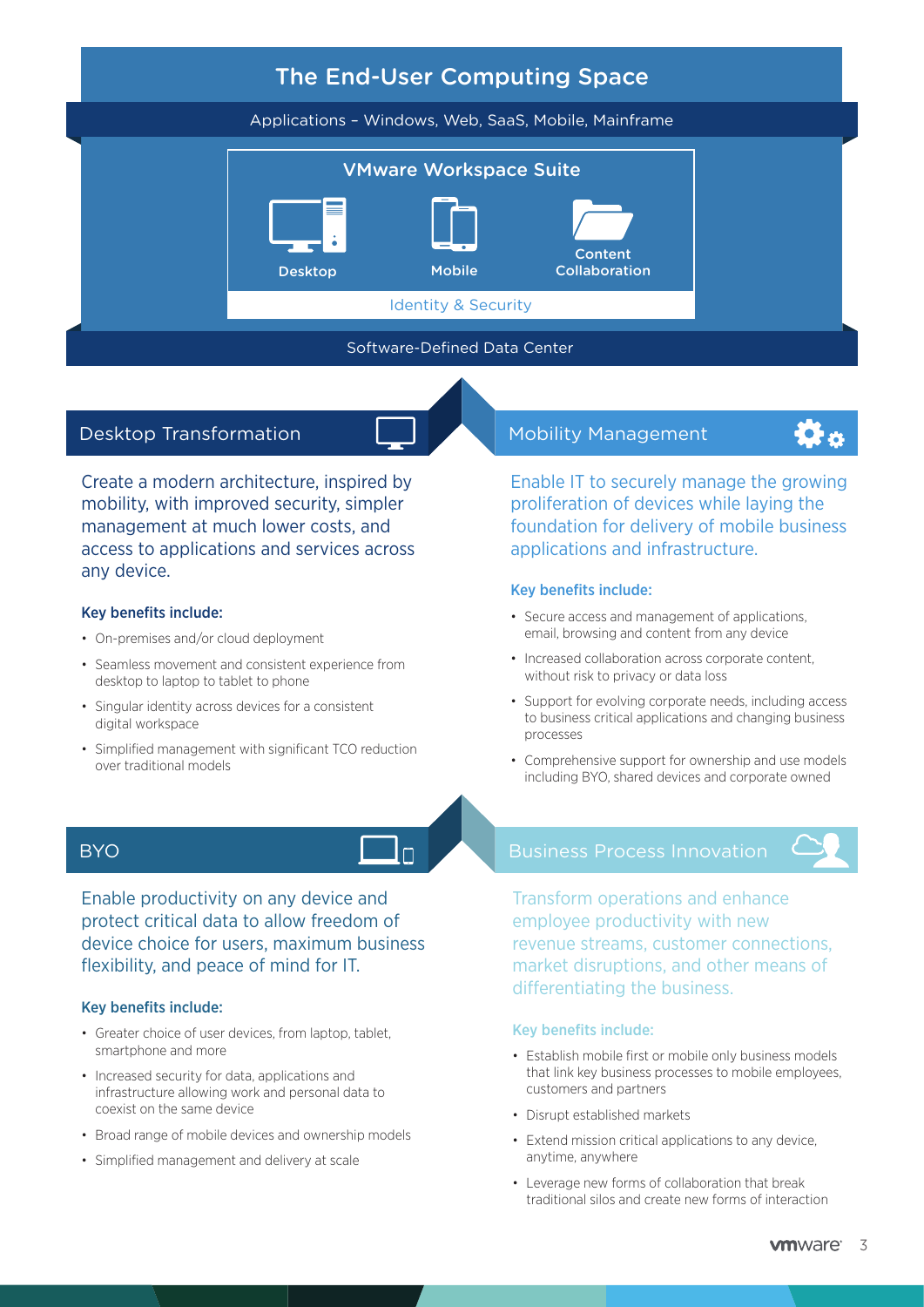

#### Desktop Transformation

Create a modern architecture, inspired by mobility, with improved security, simpler management at much lower costs, and access to applications and services across any device.

#### Key benefits include:

- On-premises and/or cloud deployment
- Seamless movement and consistent experience from desktop to laptop to tablet to phone
- Singular identity across devices for a consistent digital workspace
- Simplified management with significant TCO reduction over traditional models

#### **BYO**

Enable productivity on any device and protect critical data to allow freedom of device choice for users, maximum business flexibility, and peace of mind for IT.

#### Key benefits include:

- Greater choice of user devices, from laptop, tablet, smartphone and more
- Increased security for data, applications and infrastructure allowing work and personal data to coexist on the same device
- Broad range of mobile devices and ownership models
- Simplified management and delivery at scale

#### Mobility Management

Enable IT to securely manage the growing proliferation of devices while laying the foundation for delivery of mobile business applications and infrastructure.

#### Key benefits include:

- Secure access and management of applications, email, browsing and content from any device
- Increased collaboration across corporate content, without risk to privacy or data loss
- Support for evolving corporate needs, including access to business critical applications and changing business processes
- Comprehensive support for ownership and use models including BYO, shared devices and corporate owned

#### Business Process Innovation



Transform operations and enhance employee productivity with new revenue streams, customer connections, market disruptions, and other means of differentiating the business.

#### Key benefits include:

- Establish mobile first or mobile only business models that link key business processes to mobile employees, customers and partners
- Disrupt established markets
- Extend mission critical applications to any device, anytime, anywhere
- Leverage new forms of collaboration that break traditional silos and create new forms of interaction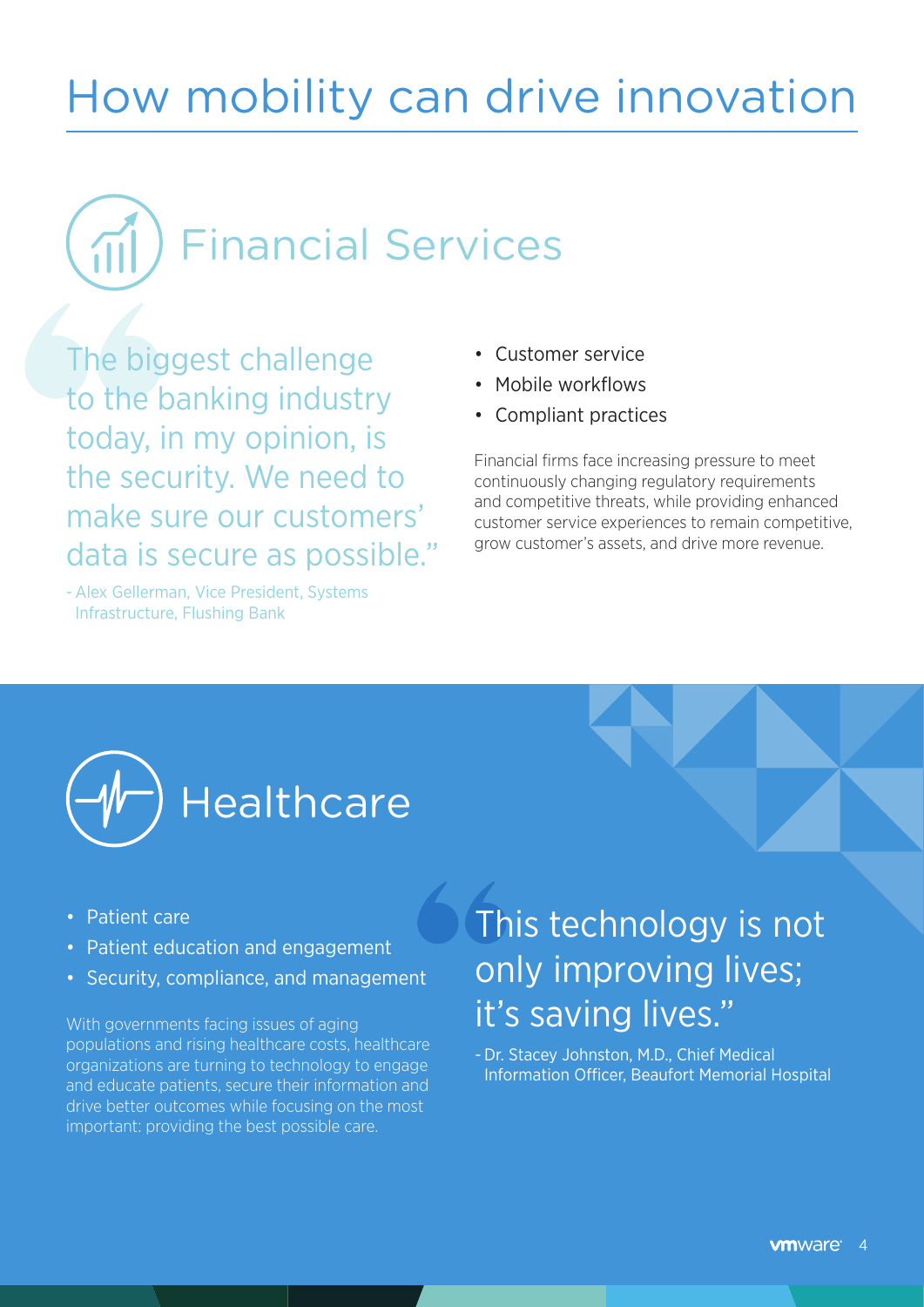## How mobility can drive innovation

Financial Services  $\sqrt{11}$ 

The biggest challenge to the banking industry today, in my opinion, is the security. We need to make sure our customers' data is secure as possible."

- Alex Gellerman, Vice President, Systems Infrastructure, Flushing Bank

- Customer service
- Mobile workflows
- Compliant practices

Financial firms face increasing pressure to meet continuously changing regulatory requirements and competitive threats, while providing enhanced customer service experiences to remain competitive, grow customer's assets, and drive more revenue.



- Patient care
- Patient education and engagement
- Security, compliance, and management

With governments facing issues of aging populations and rising healthcare costs, healthcare organizations are turning to technology to engage and educate patients, secure their information and drive better outcomes while focusing on the most important: providing the best possible care.

### This technology is not only improving lives; it's saving lives."

- Dr. Stacey Johnston, M.D., Chief Medical Information Officer, Beaufort Memorial Hospital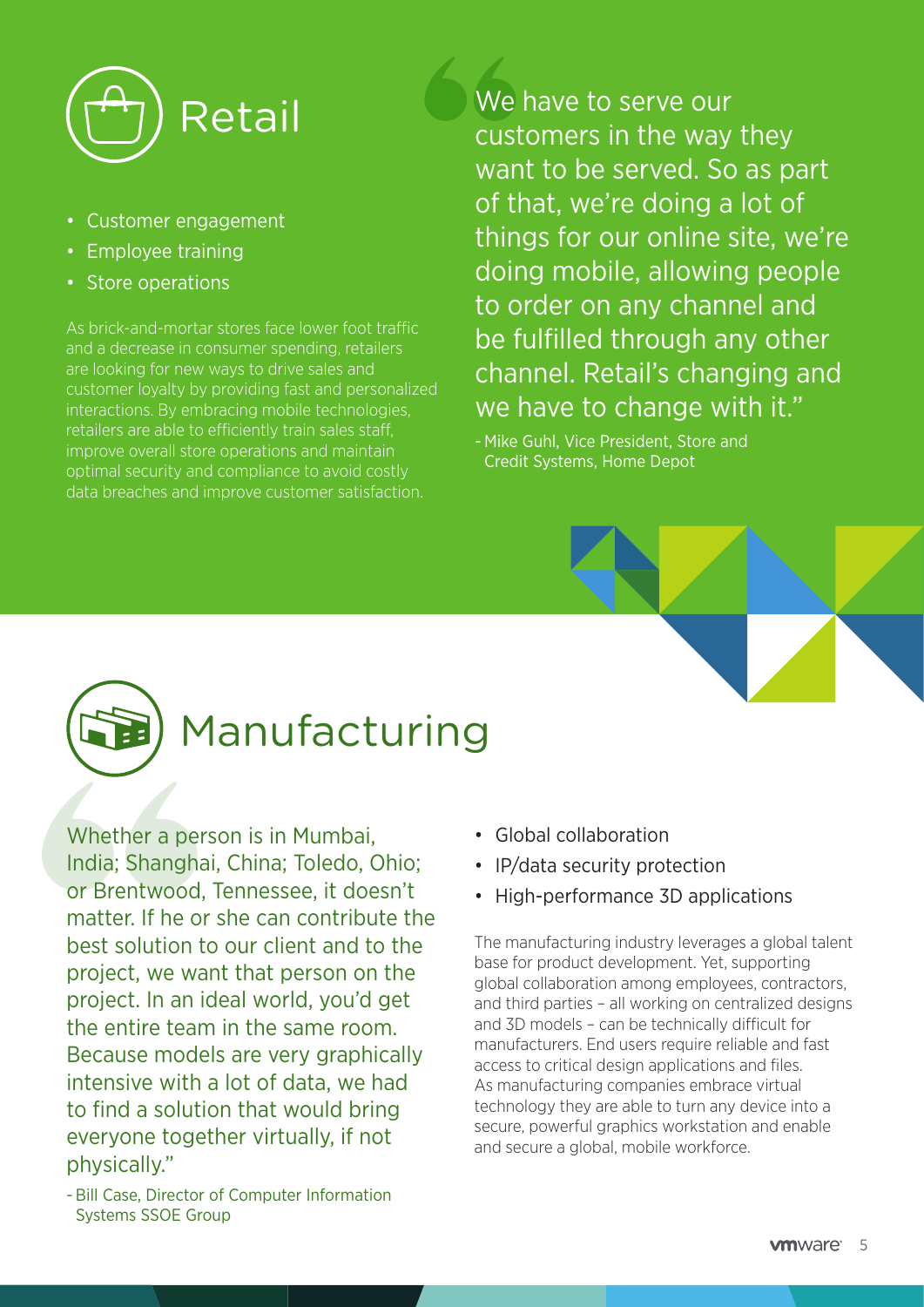

- Customer engagement
- Employee training
- Store operations

As brick-and-mortar stores face lower foot traffic and a decrease in consumer spending, retailers are looking for new ways to drive sales and customer loyalty by providing fast and personalized interactions. By embracing mobile technologies, retailers are able to efficiently train sales staff, improve overall store operations and maintain optimal security and compliance to avoid costly data breaches and improve customer satisfaction.

Retail We have to serve our customers in the way they want to be served. So as part of that, we're doing a lot of things for our online site, we're doing mobile, allowing people to order on any channel and be fulfilled through any other channel. Retail's changing and we have to change with it."

> - Mike Guhl, Vice President, Store and Credit Systems, Home Depot



### Manufacturing

Whether a person is in Mumbai, India; Shanghai, China; Toledo, Ohio; or Brentwood, Tennessee, it doesn't matter. If he or she can contribute the best solution to our client and to the project, we want that person on the project. In an ideal world, you'd get the entire team in the same room. Because models are very graphically intensive with a lot of data, we had to find a solution that would bring everyone together virtually, if not physically."

- Global collaboration
- IP/data security protection
- High-performance 3D applications

The manufacturing industry leverages a global talent base for product development. Yet, supporting global collaboration among employees, contractors, and third parties – all working on centralized designs and 3D models – can be technically difficult for manufacturers. End users require reliable and fast access to critical design applications and files. As manufacturing companies embrace virtual technology they are able to turn any device into a secure, powerful graphics workstation and enable and secure a global, mobile workforce.

<sup>-</sup> Bill Case, Director of Computer Information Systems SSOE Group